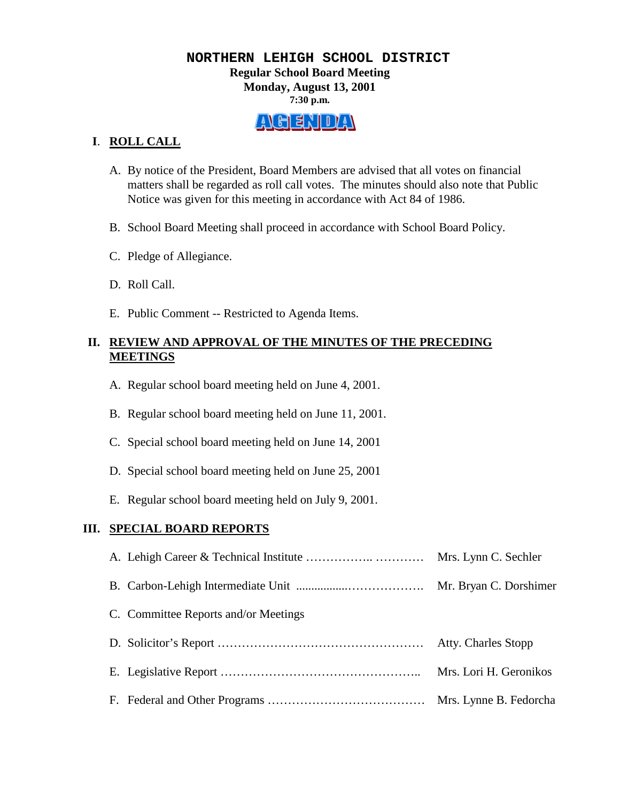# **NORTHERN LEHIGH SCHOOL DISTRICT Regular School Board Meeting Monday, August 13, 2001 7:30 p.m.**

# ALGENIDAN

# **I**. **ROLL CALL**

- A. By notice of the President, Board Members are advised that all votes on financial matters shall be regarded as roll call votes. The minutes should also note that Public Notice was given for this meeting in accordance with Act 84 of 1986.
- B. School Board Meeting shall proceed in accordance with School Board Policy.
- C. Pledge of Allegiance.
- D. Roll Call.
- E. Public Comment -- Restricted to Agenda Items.

# **II. REVIEW AND APPROVAL OF THE MINUTES OF THE PRECEDING MEETINGS**

- A. Regular school board meeting held on June 4, 2001.
- B. Regular school board meeting held on June 11, 2001.
- C. Special school board meeting held on June 14, 2001
- D. Special school board meeting held on June 25, 2001
- E. Regular school board meeting held on July 9, 2001.

# **III. SPECIAL BOARD REPORTS**

| C. Committee Reports and/or Meetings |                        |
|--------------------------------------|------------------------|
|                                      |                        |
|                                      | Mrs. Lori H. Geronikos |
|                                      |                        |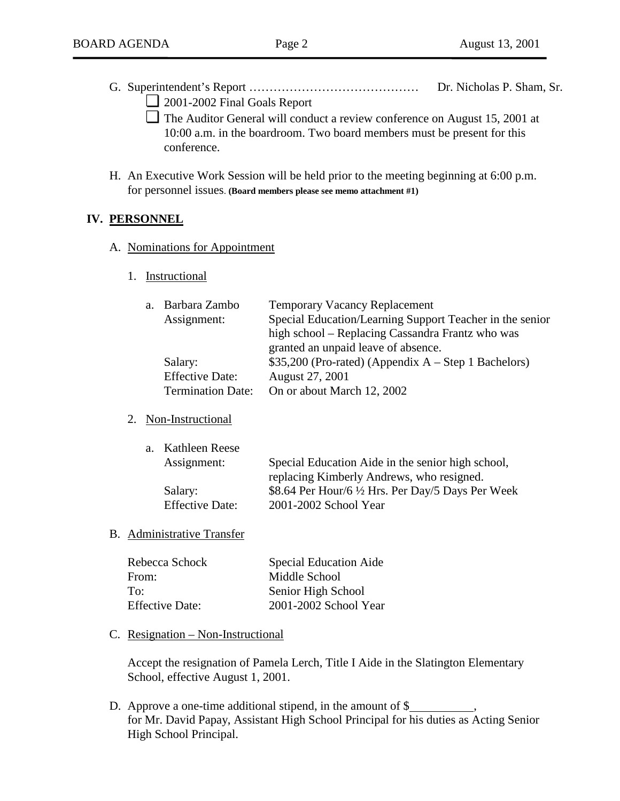- G. Superintendent's Report …………………………………… Dr. Nicholas P. Sham, Sr.
	- ❏ 2001-2002 Final Goals Report
	- ❏ The Auditor General will conduct a review conference on August 15, 2001 at 10:00 a.m. in the boardroom. Two board members must be present for this conference.
- H. An Executive Work Session will be held prior to the meeting beginning at 6:00 p.m. for personnel issues. **(Board members please see memo attachment #1)**

## **IV. PERSONNEL**

- A. Nominations for Appointment
	- 1. Instructional

| a. Barbara Zambo         | <b>Temporary Vacancy Replacement</b>                     |
|--------------------------|----------------------------------------------------------|
| Assignment:              | Special Education/Learning Support Teacher in the senior |
|                          | high school – Replacing Cassandra Frantz who was         |
|                          | granted an unpaid leave of absence.                      |
| Salary:                  | $$35,200$ (Pro-rated) (Appendix A – Step 1 Bachelors)    |
| <b>Effective Date:</b>   | August 27, 2001                                          |
| <b>Termination Date:</b> | On or about March 12, 2002                               |
|                          |                                                          |

## 2. Non-Instructional

| a. Kathleen Reese      |                                                    |
|------------------------|----------------------------------------------------|
| Assignment:            | Special Education Aide in the senior high school,  |
|                        | replacing Kimberly Andrews, who resigned.          |
| Salary:                | \$8.64 Per Hour/6 1/2 Hrs. Per Day/5 Days Per Week |
| <b>Effective Date:</b> | 2001-2002 School Year                              |

## B. Administrative Transfer

| Rebecca Schock         | <b>Special Education Aide</b> |
|------------------------|-------------------------------|
| From:                  | Middle School                 |
| To:                    | Senior High School            |
| <b>Effective Date:</b> | 2001-2002 School Year         |

#### C. Resignation – Non-Instructional

Accept the resignation of Pamela Lerch, Title I Aide in the Slatington Elementary School, effective August 1, 2001.

D. Approve a one-time additional stipend, in the amount of \$ for Mr. David Papay, Assistant High School Principal for his duties as Acting Senior High School Principal.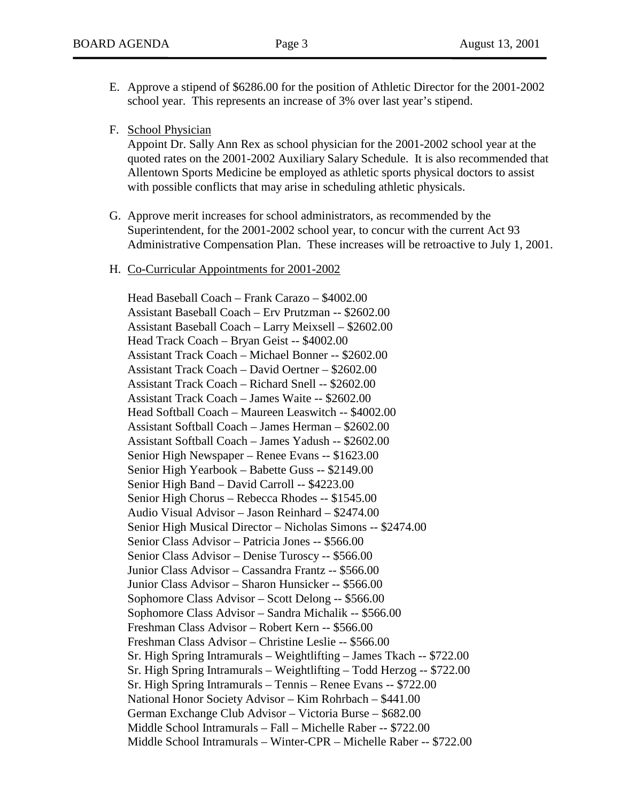- E. Approve a stipend of \$6286.00 for the position of Athletic Director for the 2001-2002 school year. This represents an increase of 3% over last year's stipend.
- F. School Physician

Appoint Dr. Sally Ann Rex as school physician for the 2001-2002 school year at the quoted rates on the 2001-2002 Auxiliary Salary Schedule. It is also recommended that Allentown Sports Medicine be employed as athletic sports physical doctors to assist with possible conflicts that may arise in scheduling athletic physicals.

- G. Approve merit increases for school administrators, as recommended by the Superintendent, for the 2001-2002 school year, to concur with the current Act 93 Administrative Compensation Plan. These increases will be retroactive to July 1, 2001.
- H. Co-Curricular Appointments for 2001-2002

 Head Baseball Coach – Frank Carazo – \$4002.00 Assistant Baseball Coach – Erv Prutzman -- \$2602.00 Assistant Baseball Coach – Larry Meixsell – \$2602.00 Head Track Coach – Bryan Geist -- \$4002.00 Assistant Track Coach – Michael Bonner -- \$2602.00 Assistant Track Coach – David Oertner – \$2602.00 Assistant Track Coach – Richard Snell -- \$2602.00 Assistant Track Coach – James Waite -- \$2602.00 Head Softball Coach – Maureen Leaswitch -- \$4002.00 Assistant Softball Coach – James Herman – \$2602.00 Assistant Softball Coach – James Yadush -- \$2602.00 Senior High Newspaper – Renee Evans -- \$1623.00 Senior High Yearbook – Babette Guss -- \$2149.00 Senior High Band – David Carroll -- \$4223.00 Senior High Chorus – Rebecca Rhodes -- \$1545.00 Audio Visual Advisor – Jason Reinhard – \$2474.00 Senior High Musical Director – Nicholas Simons -- \$2474.00 Senior Class Advisor – Patricia Jones -- \$566.00 Senior Class Advisor – Denise Turoscy -- \$566.00 Junior Class Advisor – Cassandra Frantz -- \$566.00 Junior Class Advisor – Sharon Hunsicker -- \$566.00 Sophomore Class Advisor – Scott Delong -- \$566.00 Sophomore Class Advisor – Sandra Michalik -- \$566.00 Freshman Class Advisor – Robert Kern -- \$566.00 Freshman Class Advisor – Christine Leslie -- \$566.00 Sr. High Spring Intramurals – Weightlifting – James Tkach -- \$722.00 Sr. High Spring Intramurals – Weightlifting – Todd Herzog -- \$722.00 Sr. High Spring Intramurals – Tennis – Renee Evans -- \$722.00 National Honor Society Advisor – Kim Rohrbach – \$441.00 German Exchange Club Advisor – Victoria Burse – \$682.00 Middle School Intramurals – Fall – Michelle Raber -- \$722.00 Middle School Intramurals – Winter-CPR – Michelle Raber -- \$722.00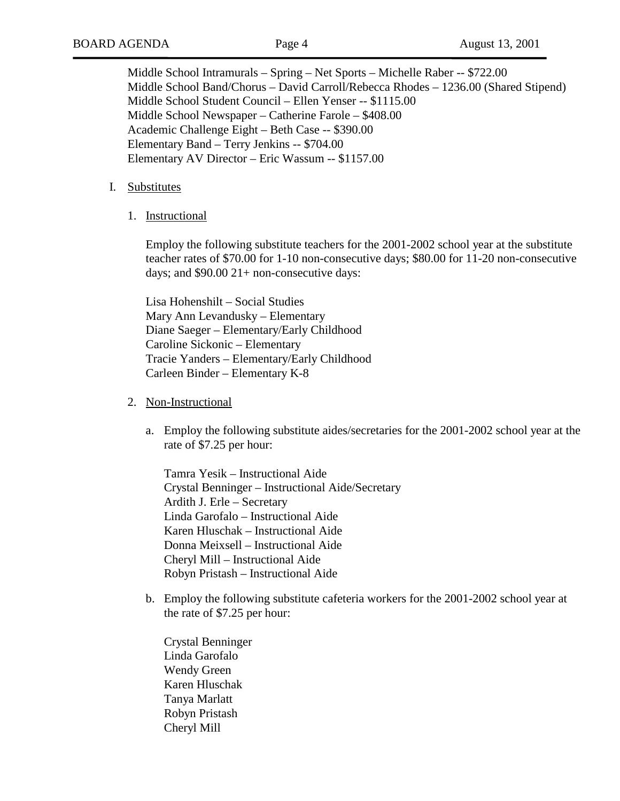Middle School Intramurals – Spring – Net Sports – Michelle Raber -- \$722.00 Middle School Band/Chorus – David Carroll/Rebecca Rhodes – 1236.00 (Shared Stipend) Middle School Student Council – Ellen Yenser -- \$1115.00 Middle School Newspaper – Catherine Farole – \$408.00 Academic Challenge Eight – Beth Case -- \$390.00 Elementary Band – Terry Jenkins -- \$704.00 Elementary AV Director – Eric Wassum -- \$1157.00

#### I. Substitutes

1. Instructional

Employ the following substitute teachers for the 2001-2002 school year at the substitute teacher rates of \$70.00 for 1-10 non-consecutive days; \$80.00 for 11-20 non-consecutive days; and \$90.00 21+ non-consecutive days:

Lisa Hohenshilt – Social Studies Mary Ann Levandusky – Elementary Diane Saeger – Elementary/Early Childhood Caroline Sickonic – Elementary Tracie Yanders – Elementary/Early Childhood Carleen Binder – Elementary K-8

- 2. Non-Instructional
	- a. Employ the following substitute aides/secretaries for the 2001-2002 school year at the rate of \$7.25 per hour:

Tamra Yesik – Instructional Aide Crystal Benninger – Instructional Aide/Secretary Ardith J. Erle – Secretary Linda Garofalo – Instructional Aide Karen Hluschak – Instructional Aide Donna Meixsell – Instructional Aide Cheryl Mill – Instructional Aide Robyn Pristash – Instructional Aide

b. Employ the following substitute cafeteria workers for the 2001-2002 school year at the rate of \$7.25 per hour:

Crystal Benninger Linda Garofalo Wendy Green Karen Hluschak Tanya Marlatt Robyn Pristash Cheryl Mill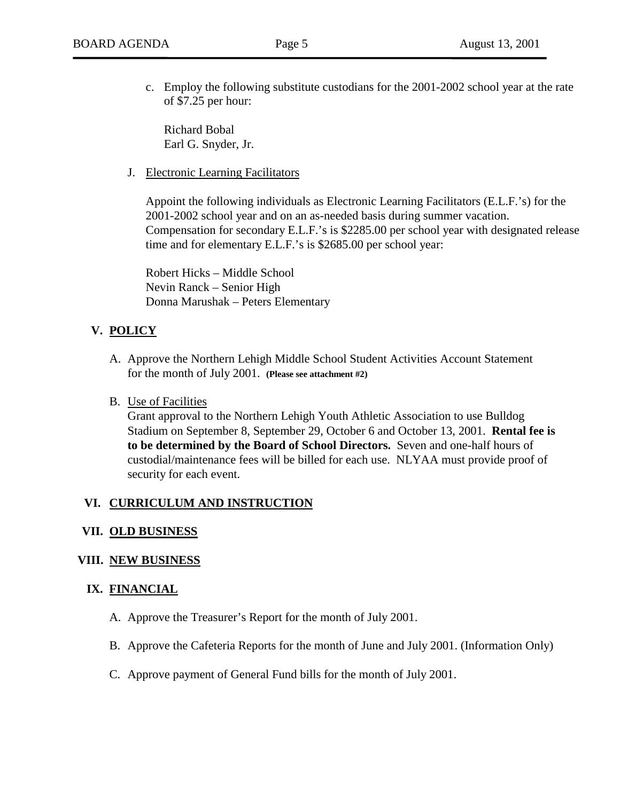c. Employ the following substitute custodians for the 2001-2002 school year at the rate of \$7.25 per hour:

Richard Bobal Earl G. Snyder, Jr.

J. Electronic Learning Facilitators

Appoint the following individuals as Electronic Learning Facilitators (E.L.F.'s) for the 2001-2002 school year and on an as-needed basis during summer vacation. Compensation for secondary E.L.F.'s is \$2285.00 per school year with designated release time and for elementary E.L.F.'s is \$2685.00 per school year:

Robert Hicks – Middle School Nevin Ranck – Senior High Donna Marushak – Peters Elementary

# **V. POLICY**

- A. Approve the Northern Lehigh Middle School Student Activities Account Statement for the month of July 2001. **(Please see attachment #2)**
- B. Use of Facilities

Grant approval to the Northern Lehigh Youth Athletic Association to use Bulldog Stadium on September 8, September 29, October 6 and October 13, 2001. **Rental fee is to be determined by the Board of School Directors.** Seven and one-half hours of custodial/maintenance fees will be billed for each use. NLYAA must provide proof of security for each event.

## **VI. CURRICULUM AND INSTRUCTION**

## **VII. OLD BUSINESS**

## **VIII. NEW BUSINESS**

## **IX. FINANCIAL**

- A. Approve the Treasurer's Report for the month of July 2001.
- B. Approve the Cafeteria Reports for the month of June and July 2001. (Information Only)
- C. Approve payment of General Fund bills for the month of July 2001.